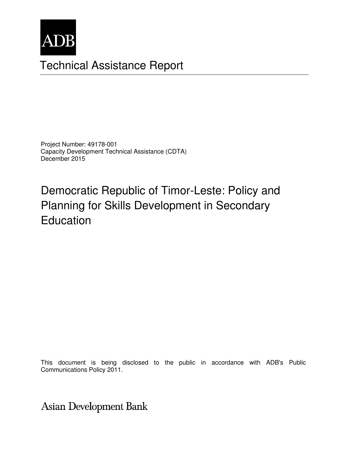

## Technical Assistance Report

Project Number: 49178-001 Capacity Development Technical Assistance (CDTA) December 2015

# Democratic Republic of Timor-Leste: Policy and Planning for Skills Development in Secondary Education

This document is being disclosed to the public in accordance with ADB's Public Communications Policy 2011.

Asian Development Bank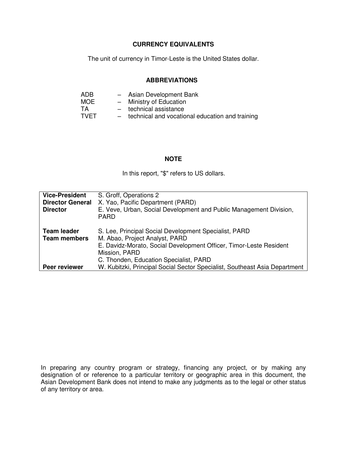#### **CURRENCY EQUIVALENTS**

The unit of currency in Timor-Leste is the United States dollar.

#### **ABBREVIATIONS**

| ADB         |     | - Asian Development Bank                        |
|-------------|-----|-------------------------------------------------|
| <b>MOE</b>  |     | - Ministry of Education                         |
| TА          |     | - technical assistance                          |
| <b>TVET</b> | $-$ | technical and vocational education and training |

#### **NOTE**

In this report, "\$" refers to US dollars.

| <b>Vice-President</b><br><b>Director General</b><br><b>Director</b> | S. Groff, Operations 2<br>X. Yao, Pacific Department (PARD)<br>E. Veve, Urban, Social Development and Public Management Division,<br><b>PARD</b>                               |
|---------------------------------------------------------------------|--------------------------------------------------------------------------------------------------------------------------------------------------------------------------------|
| <b>Team leader</b><br><b>Team members</b>                           | S. Lee, Principal Social Development Specialist, PARD<br>M. Abao, Project Analyst, PARD<br>E. Davidz-Morato, Social Development Officer, Timor-Leste Resident<br>Mission, PARD |
| Peer reviewer                                                       | C. Thonden, Education Specialist, PARD<br>W. Kubitzki, Principal Social Sector Specialist, Southeast Asia Department                                                           |

In preparing any country program or strategy, financing any project, or by making any designation of or reference to a particular territory or geographic area in this document, the Asian Development Bank does not intend to make any judgments as to the legal or other status of any territory or area.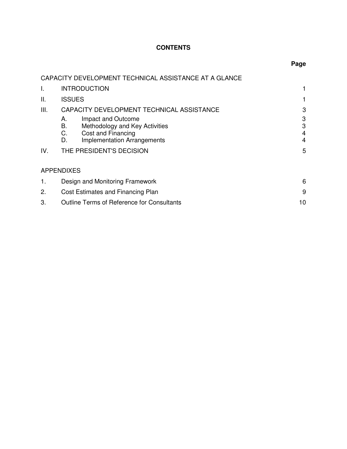## **CONTENTS**

|     | CAPACITY DEVELOPMENT TECHNICAL ASSISTANCE AT A GLANCE                                                        |                                       |
|-----|--------------------------------------------------------------------------------------------------------------|---------------------------------------|
| I.  | <b>INTRODUCTION</b>                                                                                          | 1                                     |
| ΙΙ. | <b>ISSUES</b>                                                                                                | 1                                     |
| Ш.  | CAPACITY DEVELOPMENT TECHNICAL ASSISTANCE<br>Impact and Outcome<br>А.                                        | 3<br>3                                |
|     | Methodology and Key Activities<br>В.<br>Cost and Financing<br>C.<br><b>Implementation Arrangements</b><br>D. | 3<br>$\overline{4}$<br>$\overline{4}$ |
| IV. | THE PRESIDENT'S DECISION                                                                                     | 5                                     |
|     | <b>APPENDIXES</b>                                                                                            |                                       |
| 1.  | Design and Monitoring Framework                                                                              |                                       |
| 2.  | Cost Estimates and Financing Plan                                                                            |                                       |
| 3.  | Outline Terms of Reference for Consultants                                                                   | 10                                    |
|     |                                                                                                              |                                       |

## **Page**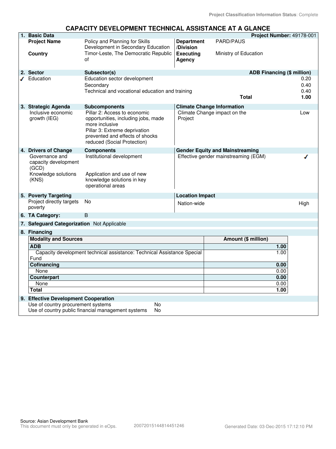#### **CAPACITY DEVELOPMENT TECHNICAL ASSISTANCE AT A GLANCE**

| 1. Basic Data                                                                   |                                                                                                                                                          |                                         |                                        | Project Number: 49178-001         |
|---------------------------------------------------------------------------------|----------------------------------------------------------------------------------------------------------------------------------------------------------|-----------------------------------------|----------------------------------------|-----------------------------------|
| <b>Project Name</b>                                                             | Policy and Planning for Skills                                                                                                                           | <b>Department</b>                       | <b>PARD/PAUS</b>                       |                                   |
| <b>Country</b>                                                                  | Development in Secondary Education<br>Timor-Leste, The Democratic Republic<br>οf                                                                         | /Division<br><b>Executing</b><br>Agency | Ministry of Education                  |                                   |
| 2. Sector                                                                       | Subsector(s)                                                                                                                                             |                                         |                                        | <b>ADB Financing (\$ million)</b> |
| $I$ Education                                                                   | Education sector development                                                                                                                             |                                         |                                        | 0.20                              |
|                                                                                 | Secondary                                                                                                                                                |                                         |                                        | 0.40                              |
|                                                                                 | Technical and vocational education and training                                                                                                          |                                         |                                        | 0.40                              |
|                                                                                 |                                                                                                                                                          |                                         | <b>Total</b>                           | 1.00                              |
| 3. Strategic Agenda                                                             | Subcomponents                                                                                                                                            |                                         | <b>Climate Change Information</b>      |                                   |
| Inclusive economic                                                              | Pillar 2: Access to economic                                                                                                                             |                                         | Climate Change impact on the           | Low                               |
| growth (IEG)                                                                    | opportunities, including jobs, made<br>more inclusive<br>Pillar 3: Extreme deprivation<br>prevented and effects of shocks<br>reduced (Social Protection) | Project                                 |                                        |                                   |
| 4. Drivers of Change                                                            | <b>Components</b>                                                                                                                                        |                                         | <b>Gender Equity and Mainstreaming</b> |                                   |
| Governance and<br>capacity development<br>(GCD)<br>Knowledge solutions<br>(KNS) | Institutional development<br>Application and use of new<br>knowledge solutions in key<br>operational areas                                               |                                         | Effective gender mainstreaming (EGM)   |                                   |
| 5. Poverty Targeting                                                            |                                                                                                                                                          | <b>Location Impact</b>                  |                                        |                                   |
| Project directly targets<br>poverty                                             | <b>No</b>                                                                                                                                                | Nation-wide                             |                                        | High                              |
| 6. TA Category:                                                                 | B                                                                                                                                                        |                                         |                                        |                                   |
| 7. Safeguard Categorization Not Applicable                                      |                                                                                                                                                          |                                         |                                        |                                   |
| 8. Financing                                                                    |                                                                                                                                                          |                                         |                                        |                                   |
| <b>Modality and Sources</b>                                                     |                                                                                                                                                          |                                         | Amount (\$ million)                    |                                   |
| <b>ADB</b>                                                                      |                                                                                                                                                          |                                         |                                        | 1.00                              |
| Capacity development technical assistance: Technical Assistance Special         |                                                                                                                                                          |                                         |                                        | 1.00                              |
| Fund                                                                            |                                                                                                                                                          |                                         |                                        |                                   |
| Cofinancing                                                                     |                                                                                                                                                          |                                         |                                        | 0.00                              |
| None                                                                            |                                                                                                                                                          |                                         |                                        | 0.00                              |
| Counterpart                                                                     |                                                                                                                                                          |                                         |                                        | 0.00                              |
| None                                                                            |                                                                                                                                                          |                                         |                                        | 0.00                              |
| <b>Total</b>                                                                    |                                                                                                                                                          |                                         |                                        | 1.00                              |
| 9. Effective Development Cooperation                                            |                                                                                                                                                          |                                         |                                        |                                   |
| Use of country procurement systems                                              | No                                                                                                                                                       |                                         |                                        |                                   |
|                                                                                 | Use of country public financial management systems<br>No                                                                                                 |                                         |                                        |                                   |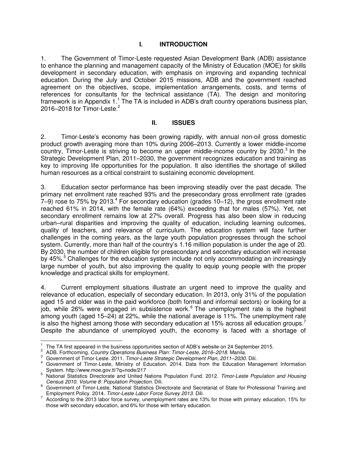### **I. INTRODUCTION**

1. The Government of Timor-Leste requested Asian Development Bank (ADB) assistance to enhance the planning and management capacity of the Ministry of Education (MOE) for skills development in secondary education, with emphasis on improving and expanding technical education. During the July and October 2015 missions, ADB and the government reached agreement on the objectives, scope, implementation arrangements, costs, and terms of references for consultants for the technical assistance (TA). The design and monitoring framework is in Appendix 1.<sup>1</sup> The TA is included in ADB's draft country operations business plan, 2016–2018 for Timor-Leste.<sup>2</sup>

#### **II. ISSUES**

2. Timor-Leste's economy has been growing rapidly, with annual non-oil gross domestic product growth averaging more than 10% during 2006–2013. Currently a lower middle-income country, Timor-Leste is striving to become an upper middle-income country by 2030. $3$  In the Strategic Development Plan, 2011–2030, the government recognizes education and training as key to improving life opportunities for the population. It also identifies the shortage of skilled human resources as a critical constraint to sustaining economic development.

3. Education sector performance has been improving steadily over the past decade. The primary net enrollment rate reached 93% and the presecondary gross enrollment rate (grades  $7-9$ ) rose to 75% by 2013. $^4$  For secondary education (grades 10-12), the gross enrollment rate reached 61% in 2014, with the female rate (64%) exceeding that for males (57%). Yet, net secondary enrollment remains low at 27% overall. Progress has also been slow in reducing urban–rural disparities and improving the quality of education, including learning outcomes, quality of teachers, and relevance of curriculum. The education system will face further challenges in the coming years, as the large youth population progresses through the school system. Currently, more than half of the country's 1.16 million population is under the age of 20. By 2030, the number of children eligible for presecondary and secondary education will increase by 45%.<sup>5</sup> Challenges for the education system include not only accommodating an increasingly large number of youth, but also improving the quality to equip young people with the proper knowledge and practical skills for employment.

4. Current employment situations illustrate an urgent need to improve the quality and relevance of education, especially of secondary education. In 2013, only 31% of the population aged 15 and older was in the paid workforce (both formal and informal sectors) or looking for a job, while 26% were engaged in subsistence work.<sup>6</sup> The unemployment rate is the highest among youth (aged 15–24) at 22%, while the national average is 11%. The unemployment rate is also the highest among those with secondary education at 15% across all education groups.<sup>7</sup> Despite the abundance of unemployed youth, the economy is faced with a shortage of

<sup>|&</sup>lt;br>1 The TA first appeared in the business opportunities section of ADB's website on 24 September 2015.

<sup>2</sup> ADB. Forthcoming. *Country Operations Business Plan: Timor-Leste, 2016–2018.* Manila.

<sup>3</sup> Government of Timor-Leste. 2011. *Timor-Leste Strategic Development Plan, 2011–2030*. Dili.

<sup>4</sup> Government of Timor-Leste, Ministry of Education. 2014. Data from the Education Management Information System. http://www.moe.gov.tl/?q=node/217

<sup>5</sup> National Statistics Directorate and United Nations Population Fund. 2012. *Timor-Leste Population and Housing Census 2010. Volume 8: Population Projection.* Dili.

<sup>&</sup>lt;sup>6</sup> Government of Timor-Leste, National Statistics Directorate and Secretariat of State for Professional Training and Employment Policy. 2014. *Timor-Leste Labor Force Survey 2013.* Dili.

 $7$  According to the 2013 labor force survey, unemployment rates are 13% for those with primary education, 15% for those with secondary education, and 6% for those with tertiary education.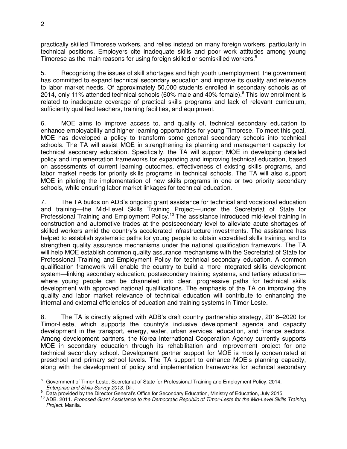practically skilled Timorese workers, and relies instead on many foreign workers, particularly in technical positions. Employers cite inadequate skills and poor work attitudes among young Timorese as the main reasons for using foreign skilled or semiskilled workers.<sup>8</sup>

5. Recognizing the issues of skill shortages and high youth unemployment, the government has committed to expand technical secondary education and improve its quality and relevance to labor market needs. Of approximately 50,000 students enrolled in secondary schools as of 2014, only 11% attended technical schools (60% male and 40% female).<sup>9</sup> This low enrollment is related to inadequate coverage of practical skills programs and lack of relevant curriculum, sufficiently qualified teachers, training facilities, and equipment.

6. MOE aims to improve access to, and quality of, technical secondary education to enhance employability and higher learning opportunities for young Timorese. To meet this goal, MOE has developed a policy to transform some general secondary schools into technical schools. The TA will assist MOE in strengthening its planning and management capacity for technical secondary education. Specifically, the TA will support MOE in developing detailed policy and implementation frameworks for expanding and improving technical education, based on assessments of current learning outcomes, effectiveness of existing skills programs, and labor market needs for priority skills programs in technical schools. The TA will also support MOE in piloting the implementation of new skills programs in one or two priority secondary schools, while ensuring labor market linkages for technical education.

7. The TA builds on ADB's ongoing grant assistance for technical and vocational education and training—the Mid-Level Skills Training Project—under the Secretariat of State for Professional Training and Employment Policy.<sup>10</sup> The assistance introduced mid-level training in construction and automotive trades at the postsecondary level to alleviate acute shortages of skilled workers amid the country's accelerated infrastructure investments. The assistance has helped to establish systematic paths for young people to obtain accredited skills training, and to strengthen quality assurance mechanisms under the national qualification framework. The TA will help MOE establish common quality assurance mechanisms with the Secretariat of State for Professional Training and Employment Policy for technical secondary education. A common qualification framework will enable the country to build a more integrated skills development system—linking secondary education, postsecondary training systems, and tertiary education where young people can be channeled into clear, progressive paths for technical skills development with approved national qualifications. The emphasis of the TA on improving the quality and labor market relevance of technical education will contribute to enhancing the internal and external efficiencies of education and training systems in Timor-Leste.

8. The TA is directly aligned with ADB's draft country partnership strategy, 2016–2020 for Timor-Leste, which supports the country's inclusive development agenda and capacity development in the transport, energy, water, urban services, education, and finance sectors. Among development partners, the Korea International Cooperation Agency currently supports MOE in secondary education through its rehabilitation and improvement project for one technical secondary school. Development partner support for MOE is mostly concentrated at preschool and primary school levels. The TA support to enhance MOE's planning capacity, along with the development of policy and implementation frameworks for technical secondary

 $\overline{\phantom{a}}$ 8 Government of Timor-Leste, Secretariat of State for Professional Training and Employment Policy. 2014. *Enterprise and Skills Survey 2013.* Dili.

<sup>9</sup> Data provided by the Director General's Office for Secondary Education, Ministry of Education, July 2015.

<sup>10</sup> ADB. 2011. *Proposed Grant Assistance to the Democratic Republic of Timor-Leste for the Mid-Level Skills Training Project*. Manila.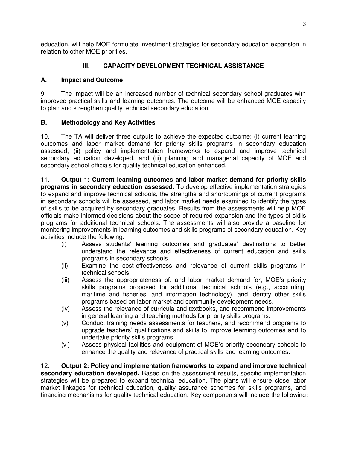education, will help MOE formulate investment strategies for secondary education expansion in relation to other MOE priorities.

## **III. CAPACITY DEVELOPMENT TECHNICAL ASSISTANCE**

## **A. Impact and Outcome**

9. The impact will be an increased number of technical secondary school graduates with improved practical skills and learning outcomes. The outcome will be enhanced MOE capacity to plan and strengthen quality technical secondary education.

## **B. Methodology and Key Activities**

10. The TA will deliver three outputs to achieve the expected outcome: (i) current learning outcomes and labor market demand for priority skills programs in secondary education assessed, (ii) policy and implementation frameworks to expand and improve technical secondary education developed, and (iii) planning and managerial capacity of MOE and secondary school officials for quality technical education enhanced.

11. **Output 1: Current learning outcomes and labor market demand for priority skills programs in secondary education assessed.** To develop effective implementation strategies to expand and improve technical schools, the strengths and shortcomings of current programs in secondary schools will be assessed, and labor market needs examined to identify the types of skills to be acquired by secondary graduates. Results from the assessments will help MOE officials make informed decisions about the scope of required expansion and the types of skills programs for additional technical schools. The assessments will also provide a baseline for monitoring improvements in learning outcomes and skills programs of secondary education. Key activities include the following:

- (i) Assess students' learning outcomes and graduates' destinations to better understand the relevance and effectiveness of current education and skills programs in secondary schools.
- (ii) Examine the cost-effectiveness and relevance of current skills programs in technical schools.
- (iii) Assess the appropriateness of, and labor market demand for, MOE's priority skills programs proposed for additional technical schools (e.g., accounting, maritime and fisheries, and information technology), and identify other skills programs based on labor market and community development needs.
- (iv) Assess the relevance of curricula and textbooks, and recommend improvements in general learning and teaching methods for priority skills programs.
- (v) Conduct training needs assessments for teachers, and recommend programs to upgrade teachers' qualifications and skills to improve learning outcomes and to undertake priority skills programs.
- (vi) Assess physical facilities and equipment of MOE's priority secondary schools to enhance the quality and relevance of practical skills and learning outcomes.

12. **Output 2: Policy and implementation frameworks to expand and improve technical secondary education developed.** Based on the assessment results, specific implementation strategies will be prepared to expand technical education. The plans will ensure close labor market linkages for technical education, quality assurance schemes for skills programs, and financing mechanisms for quality technical education. Key components will include the following: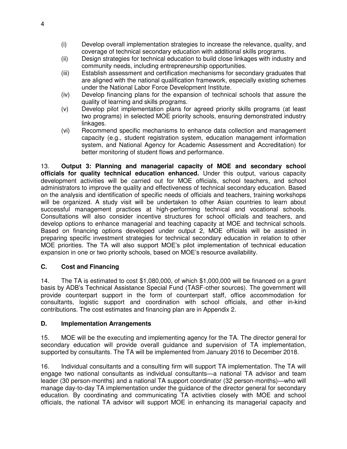- (i) Develop overall implementation strategies to increase the relevance, quality, and coverage of technical secondary education with additional skills programs.
- (ii) Design strategies for technical education to build close linkages with industry and community needs, including entrepreneurship opportunities.
- (iii) Establish assessment and certification mechanisms for secondary graduates that are aligned with the national qualification framework, especially existing schemes under the National Labor Force Development Institute.
- (iv) Develop financing plans for the expansion of technical schools that assure the quality of learning and skills programs.
- (v) Develop pilot implementation plans for agreed priority skills programs (at least two programs) in selected MOE priority schools, ensuring demonstrated industry linkages.
- (vi) Recommend specific mechanisms to enhance data collection and management capacity (e.g., student registration system, education management information system, and National Agency for Academic Assessment and Accreditation) for better monitoring of student flows and performance.

13. **Output 3: Planning and managerial capacity of MOE and secondary school officials for quality technical education enhanced.** Under this output, various capacity development activities will be carried out for MOE officials, school teachers, and school administrators to improve the quality and effectiveness of technical secondary education. Based on the analysis and identification of specific needs of officials and teachers, training workshops will be organized. A study visit will be undertaken to other Asian countries to learn about successful management practices at high-performing technical and vocational schools. Consultations will also consider incentive structures for school officials and teachers, and develop options to enhance managerial and teaching capacity at MOE and technical schools. Based on financing options developed under output 2, MOE officials will be assisted in preparing specific investment strategies for technical secondary education in relation to other MOE priorities. The TA will also support MOE's pilot implementation of technical education expansion in one or two priority schools, based on MOE's resource availability.

## **C. Cost and Financing**

14. The TA is estimated to cost \$1,080,000, of which \$1,000,000 will be financed on a grant basis by ADB's Technical Assistance Special Fund (TASF-other sources). The government will provide counterpart support in the form of counterpart staff, office accommodation for consultants, logistic support and coordination with school officials, and other in-kind contributions. The cost estimates and financing plan are in Appendix 2.

## **D. Implementation Arrangements**

15. MOE will be the executing and implementing agency for the TA. The director general for secondary education will provide overall guidance and supervision of TA implementation, supported by consultants. The TA will be implemented from January 2016 to December 2018.

16. Individual consultants and a consulting firm will support TA implementation. The TA will engage two national consultants as individual consultants—a national TA advisor and team leader (30 person-months) and a national TA support coordinator (32 person-months)—who will manage day-to-day TA implementation under the guidance of the director general for secondary education. By coordinating and communicating TA activities closely with MOE and school officials, the national TA advisor will support MOE in enhancing its managerial capacity and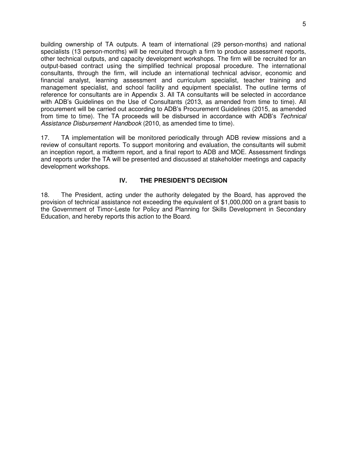building ownership of TA outputs. A team of international (29 person-months) and national specialists (13 person-months) will be recruited through a firm to produce assessment reports, other technical outputs, and capacity development workshops. The firm will be recruited for an output-based contract using the simplified technical proposal procedure. The international consultants, through the firm, will include an international technical advisor, economic and financial analyst, learning assessment and curriculum specialist, teacher training and management specialist, and school facility and equipment specialist. The outline terms of reference for consultants are in Appendix 3. All TA consultants will be selected in accordance with ADB's Guidelines on the Use of Consultants (2013, as amended from time to time). All procurement will be carried out according to ADB's Procurement Guidelines (2015, as amended from time to time). The TA proceeds will be disbursed in accordance with ADB's *Technical*  Assistance Disbursement Handbook (2010, as amended time to time).

17. TA implementation will be monitored periodically through ADB review missions and a review of consultant reports. To support monitoring and evaluation, the consultants will submit an inception report, a midterm report, and a final report to ADB and MOE. Assessment findings and reports under the TA will be presented and discussed at stakeholder meetings and capacity development workshops.

### **IV. THE PRESIDENT'S DECISION**

18. The President, acting under the authority delegated by the Board, has approved the provision of technical assistance not exceeding the equivalent of \$1,000,000 on a grant basis to the Government of Timor-Leste for Policy and Planning for Skills Development in Secondary Education, and hereby reports this action to the Board.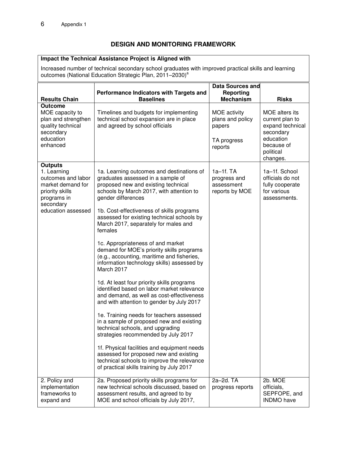## **DESIGN AND MONITORING FRAMEWORK**

#### **Impact the Technical Assistance Project is Aligned with**

Increased number of technical secondary school graduates with improved practical skills and learning outcomes (National Education Strategic Plan, 2011–2030)<sup>a</sup>

| <b>Results Chain</b>                                                                                                                          | Performance Indicators with Targets and<br><b>Baselines</b>                                                                                                                                                                                                                                                                                                                                                                                                                                                                                                                                                                                                                                                                                                                                                                                                                                                                                                                                                                                                                    | Data Sources and<br><b>Reporting</b><br><b>Mechanism</b>             | <b>Risks</b>                                                                                                           |
|-----------------------------------------------------------------------------------------------------------------------------------------------|--------------------------------------------------------------------------------------------------------------------------------------------------------------------------------------------------------------------------------------------------------------------------------------------------------------------------------------------------------------------------------------------------------------------------------------------------------------------------------------------------------------------------------------------------------------------------------------------------------------------------------------------------------------------------------------------------------------------------------------------------------------------------------------------------------------------------------------------------------------------------------------------------------------------------------------------------------------------------------------------------------------------------------------------------------------------------------|----------------------------------------------------------------------|------------------------------------------------------------------------------------------------------------------------|
| <b>Outcome</b><br>MOE capacity to<br>plan and strengthen<br>quality technical<br>secondary<br>education<br>enhanced                           | Timelines and budgets for implementing<br>technical school expansion are in place<br>and agreed by school officials                                                                                                                                                                                                                                                                                                                                                                                                                                                                                                                                                                                                                                                                                                                                                                                                                                                                                                                                                            | MOE activity<br>plans and policy<br>papers<br>TA progress<br>reports | MOE alters its<br>current plan to<br>expand technical<br>secondary<br>education<br>because of<br>political<br>changes. |
| <b>Outputs</b><br>1. Learning<br>outcomes and labor<br>market demand for<br>priority skills<br>programs in<br>secondary<br>education assessed | 1a. Learning outcomes and destinations of<br>graduates assessed in a sample of<br>proposed new and existing technical<br>schools by March 2017, with attention to<br>gender differences<br>1b. Cost-effectiveness of skills programs<br>assessed for existing technical schools by<br>March 2017, separately for males and<br>females<br>1c. Appropriateness of and market<br>demand for MOE's priority skills programs<br>(e.g., accounting, maritime and fisheries,<br>information technology skills) assessed by<br>March 2017<br>1d. At least four priority skills programs<br>identified based on labor market relevance<br>and demand, as well as cost-effectiveness<br>and with attention to gender by July 2017<br>1e. Training needs for teachers assessed<br>in a sample of proposed new and existing<br>technical schools, and upgrading<br>strategies recommended by July 2017<br>1f. Physical facilities and equipment needs<br>assessed for proposed new and existing<br>technical schools to improve the relevance<br>of practical skills training by July 2017 | 1a-1f. TA<br>progress and<br>assessment<br>reports by MOE            | 1a-1f. School<br>officials do not<br>fully cooperate<br>for various<br>assessments.                                    |
| 2. Policy and<br>implementation<br>frameworks to<br>expand and                                                                                | 2a. Proposed priority skills programs for<br>new technical schools discussed, based on<br>assessment results, and agreed to by<br>MOE and school officials by July 2017,                                                                                                                                                                                                                                                                                                                                                                                                                                                                                                                                                                                                                                                                                                                                                                                                                                                                                                       | 2a-2d. TA<br>progress reports                                        | 2b. MOE<br>officials,<br>SEPFOPE, and<br><b>INDMO</b> have                                                             |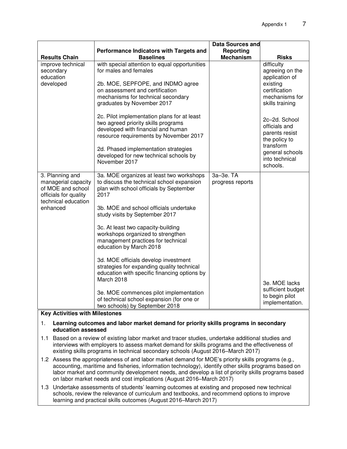|                                                                                      | Performance Indicators with Targets and                                                                                                                                                                                                                               | <b>Data Sources and</b><br>Reporting |                                                                                                                                 |
|--------------------------------------------------------------------------------------|-----------------------------------------------------------------------------------------------------------------------------------------------------------------------------------------------------------------------------------------------------------------------|--------------------------------------|---------------------------------------------------------------------------------------------------------------------------------|
| <b>Results Chain</b>                                                                 | <b>Baselines</b>                                                                                                                                                                                                                                                      | <b>Mechanism</b>                     | <b>Risks</b>                                                                                                                    |
| improve technical<br>secondary<br>education                                          | with special attention to equal opportunities<br>for males and females                                                                                                                                                                                                |                                      | difficulty<br>agreeing on the<br>application of                                                                                 |
| developed                                                                            | 2b. MOE, SEPFOPE, and INDMO agree<br>on assessment and certification<br>mechanisms for technical secondary<br>graduates by November 2017                                                                                                                              |                                      | existing<br>certification<br>mechanisms for<br>skills training                                                                  |
|                                                                                      | 2c. Pilot implementation plans for at least<br>two agreed priority skills programs<br>developed with financial and human<br>resource requirements by November 2017<br>2d. Phased implementation strategies<br>developed for new technical schools by<br>November 2017 |                                      | 2c-2d. School<br>officials and<br>parents resist<br>the policy to<br>transform<br>general schools<br>into technical<br>schools. |
| 3. Planning and<br>managerial capacity<br>of MOE and school<br>officials for quality | 3a. MOE organizes at least two workshops<br>to discuss the technical school expansion<br>plan with school officials by September<br>2017                                                                                                                              | 3a-3e, TA<br>progress reports        |                                                                                                                                 |
| technical education<br>enhanced                                                      | 3b. MOE and school officials undertake<br>study visits by September 2017                                                                                                                                                                                              |                                      |                                                                                                                                 |
|                                                                                      | 3c. At least two capacity-building<br>workshops organized to strengthen<br>management practices for technical<br>education by March 2018                                                                                                                              |                                      |                                                                                                                                 |
|                                                                                      | 3d. MOE officials develop investment<br>strategies for expanding quality technical<br>education with specific financing options by<br>March 2018                                                                                                                      |                                      | 3e. MOE lacks                                                                                                                   |
|                                                                                      | 3e. MOE commences pilot implementation<br>of technical school expansion (for one or<br>two schools) by September 2018                                                                                                                                                 |                                      | sufficient budget<br>to begin pilot<br>implementation.                                                                          |

#### **Key Activities with Milestones**

#### 1. **Learning outcomes and labor market demand for priority skills programs in secondary education assessed**

- 1.1 Based on a review of existing labor market and tracer studies, undertake additional studies and interviews with employers to assess market demand for skills programs and the effectiveness of existing skills programs in technical secondary schools (August 2016–March 2017)
- 1.2 Assess the appropriateness of and labor market demand for MOE's priority skills programs (e.g., accounting, maritime and fisheries, information technology), identify other skills programs based on labor market and community development needs, and develop a list of priority skills programs based on labor market needs and cost implications (August 2016–March 2017)
- 1.3 Undertake assessments of students' learning outcomes at existing and proposed new technical schools, review the relevance of curriculum and textbooks, and recommend options to improve learning and practical skills outcomes (August 2016–March 2017)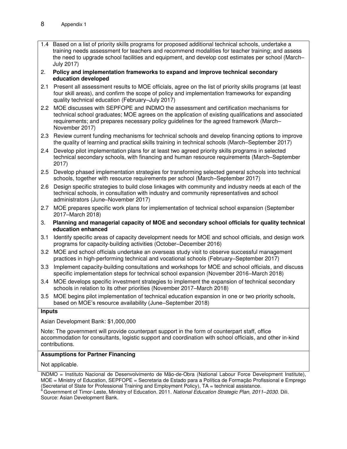1.4 Based on a list of priority skills programs for proposed additional technical schools, undertake a training needs assessment for teachers and recommend modalities for teacher training; and assess the need to upgrade school facilities and equipment, and develop cost estimates per school (March– July 2017)

2. **Policy and implementation frameworks to expand and improve technical secondary education developed**

- 2.1 Present all assessment results to MOE officials, agree on the list of priority skills programs (at least four skill areas), and confirm the scope of policy and implementation frameworks for expanding quality technical education (February–July 2017)
- 2.2 MOE discusses with SEPFOPE and INDMO the assessment and certification mechanisms for technical school graduates; MOE agrees on the application of existing qualifications and associated requirements; and prepares necessary policy guidelines for the agreed framework (March– November 2017)
- 2.3 Review current funding mechanisms for technical schools and develop financing options to improve the quality of learning and practical skills training in technical schools (March–September 2017)
- 2.4 Develop pilot implementation plans for at least two agreed priority skills programs in selected technical secondary schools, with financing and human resource requirements (March–September 2017)
- 2.5 Develop phased implementation strategies for transforming selected general schools into technical schools, together with resource requirements per school (March–September 2017)
- 2.6 Design specific strategies to build close linkages with community and industry needs at each of the technical schools, in consultation with industry and community representatives and school administrators (June–November 2017)
- 2.7 MOE prepares specific work plans for implementation of technical school expansion (September 2017–March 2018)
- 3. **Planning and managerial capacity of MOE and secondary school officials for quality technical education enhanced**
- 3.1 Identify specific areas of capacity development needs for MOE and school officials, and design work programs for capacity-building activities (October–December 2016)
- 3.2 MOE and school officials undertake an overseas study visit to observe successful management practices in high-performing technical and vocational schools (February–September 2017)
- 3.3 Implement capacity-building consultations and workshops for MOE and school officials, and discuss specific implementation steps for technical school expansion (November 2016–March 2018)
- 3.4 MOE develops specific investment strategies to implement the expansion of technical secondary schools in relation to its other priorities (November 2017–March 2018)
- 3.5 MOE begins pilot implementation of technical education expansion in one or two priority schools, based on MOE's resource availability (June–September 2018)

#### **Inputs**

Asian Development Bank: \$1,000,000

Note: The government will provide counterpart support in the form of counterpart staff, office accommodation for consultants, logistic support and coordination with school officials, and other in-kind contributions.

#### **Assumptions for Partner Financing**

Not applicable.

INDMO = Instituto Nacional de Desenvolvimento de Mão-de-Obra (National Labour Force Development Institute), MOE = Ministry of Education, SEPFOPE = Secretaria de Estado para a Política de Formação Profissional e Emprego (Secretariat of State for Professional Training and Employment Policy), TA = technical assistance. <sup>a</sup>Government of Timor-Leste, Ministry of Education. 2011. *National Education Strategic Plan, 2011–2030.* Dili.

Source: Asian Development Bank.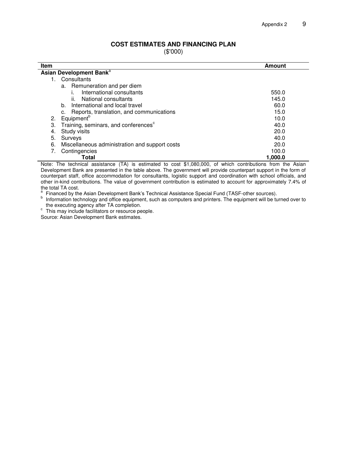#### **COST ESTIMATES AND FINANCING PLAN**

(\$'000)

| Item                                                                                                      | Amount  |  |  |
|-----------------------------------------------------------------------------------------------------------|---------|--|--|
| Asian Development Bank <sup>a</sup>                                                                       |         |  |  |
| Consultants                                                                                               |         |  |  |
| a. Remuneration and per diem                                                                              |         |  |  |
| International consultants                                                                                 | 550.0   |  |  |
| National consultants<br>II.                                                                               | 145.0   |  |  |
| International and local travel<br>b.                                                                      | 60.0    |  |  |
| Reports, translation, and communications                                                                  | 15.0    |  |  |
| Equipment <sup>b</sup><br>2.                                                                              | 10.0    |  |  |
| Training, seminars, and conferences <sup>c</sup><br>З.                                                    | 40.0    |  |  |
| Study visits<br>4.                                                                                        | 20.0    |  |  |
| 5.<br>Surveys                                                                                             | 40.0    |  |  |
| 6.<br>Miscellaneous administration and support costs                                                      | 20.0    |  |  |
| Contingencies                                                                                             | 100.0   |  |  |
| Total                                                                                                     | 1,000.0 |  |  |
| Nata: The technical conjetuous (TA) is estimated to east 04,000,000 of which contributions from the Asian |         |  |  |

Note: The technical assistance (TA) is estimated to cost \$1,080,000, of which contributions from the Asian Development Bank are presented in the table above. The government will provide counterpart support in the form of counterpart staff, office accommodation for consultants, logistic support and coordination with school officials, and other in-kind contributions. The value of government contribution is estimated to account for approximately 7.4% of the total TA cost.<br><sup>a</sup> Financed by the

Financed by the Asian Development Bank's Technical Assistance Special Fund (TASF-other sources).

<sup>b</sup> Information technology and office equipment, such as computers and printers. The equipment will be turned over to the executing agency after TA completion.

<sup>c</sup> This may include facilitators or resource people.

Source: Asian Development Bank estimates.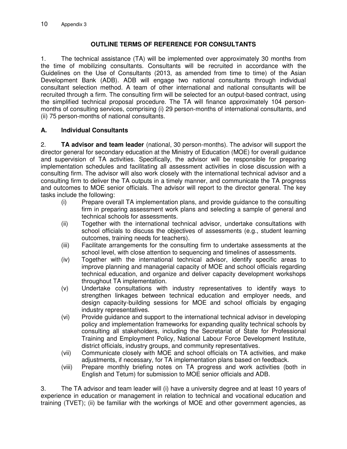## **OUTLINE TERMS OF REFERENCE FOR CONSULTANTS**

1. The technical assistance (TA) will be implemented over approximately 30 months from the time of mobilizing consultants. Consultants will be recruited in accordance with the Guidelines on the Use of Consultants (2013, as amended from time to time) of the Asian Development Bank (ADB). ADB will engage two national consultants through individual consultant selection method. A team of other international and national consultants will be recruited through a firm. The consulting firm will be selected for an output-based contract, using the simplified technical proposal procedure. The TA will finance approximately 104 personmonths of consulting services, comprising (i) 29 person-months of international consultants, and (ii) 75 person-months of national consultants.

## **A. Individual Consultants**

2. **TA advisor and team leader** (national, 30 person-months). The advisor will support the director general for secondary education at the Ministry of Education (MOE) for overall guidance and supervision of TA activities. Specifically, the advisor will be responsible for preparing implementation schedules and facilitating all assessment activities in close discussion with a consulting firm. The advisor will also work closely with the international technical advisor and a consulting firm to deliver the TA outputs in a timely manner, and communicate the TA progress and outcomes to MOE senior officials. The advisor will report to the director general. The key tasks include the following:

- (i) Prepare overall TA implementation plans, and provide guidance to the consulting firm in preparing assessment work plans and selecting a sample of general and technical schools for assessments.
- (ii) Together with the international technical advisor, undertake consultations with school officials to discuss the objectives of assessments (e.g., student learning outcomes, training needs for teachers).
- (iii) Facilitate arrangements for the consulting firm to undertake assessments at the school level, with close attention to sequencing and timelines of assessments.
- (iv) Together with the international technical advisor, identify specific areas to improve planning and managerial capacity of MOE and school officials regarding technical education, and organize and deliver capacity development workshops throughout TA implementation.
- (v) Undertake consultations with industry representatives to identify ways to strengthen linkages between technical education and employer needs, and design capacity-building sessions for MOE and school officials by engaging industry representatives.
- (vi) Provide guidance and support to the international technical advisor in developing policy and implementation frameworks for expanding quality technical schools by consulting all stakeholders, including the Secretariat of State for Professional Training and Employment Policy, National Labour Force Development Institute, district officials, industry groups, and community representatives.
- (vii) Communicate closely with MOE and school officials on TA activities, and make adjustments, if necessary, for TA implementation plans based on feedback.
- (viii) Prepare monthly briefing notes on TA progress and work activities (both in English and Tetum) for submission to MOE senior officials and ADB.

3. The TA advisor and team leader will (i) have a university degree and at least 10 years of experience in education or management in relation to technical and vocational education and training (TVET); (ii) be familiar with the workings of MOE and other government agencies, as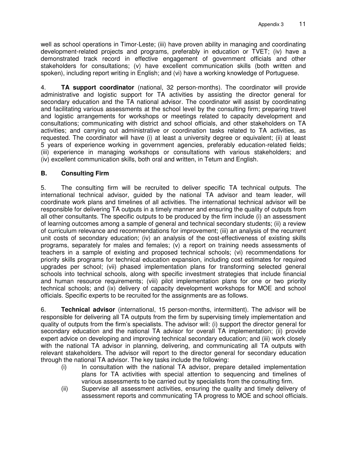well as school operations in Timor-Leste; (iii) have proven ability in managing and coordinating development-related projects and programs, preferably in education or TVET; (iv) have a demonstrated track record in effective engagement of government officials and other stakeholders for consultations; (v) have excellent communication skills (both written and spoken), including report writing in English; and (vi) have a working knowledge of Portuguese.

4. **TA support coordinator** (national, 32 person-months). The coordinator will provide administrative and logistic support for TA activities by assisting the director general for secondary education and the TA national advisor. The coordinator will assist by coordinating and facilitating various assessments at the school level by the consulting firm; preparing travel and logistic arrangements for workshops or meetings related to capacity development and consultations; communicating with district and school officials, and other stakeholders on TA activities; and carrying out administrative or coordination tasks related to TA activities, as requested. The coordinator will have (i) at least a university degree or equivalent; (ii) at least 5 years of experience working in government agencies, preferably education-related fields; (iii) experience in managing workshops or consultations with various stakeholders; and (iv) excellent communication skills, both oral and written, in Tetum and English.

## **B. Consulting Firm**

5. The consulting firm will be recruited to deliver specific TA technical outputs. The international technical advisor, guided by the national TA advisor and team leader, will coordinate work plans and timelines of all activities. The international technical advisor will be responsible for delivering TA outputs in a timely manner and ensuring the quality of outputs from all other consultants. The specific outputs to be produced by the firm include (i) an assessment of learning outcomes among a sample of general and technical secondary students; (ii) a review of curriculum relevance and recommendations for improvement; (iii) an analysis of the recurrent unit costs of secondary education; (iv) an analysis of the cost-effectiveness of existing skills programs, separately for males and females; (v) a report on training needs assessments of teachers in a sample of existing and proposed technical schools; (vi) recommendations for priority skills programs for technical education expansion, including cost estimates for required upgrades per school; (vii) phased implementation plans for transforming selected general schools into technical schools, along with specific investment strategies that include financial and human resource requirements; (viii) pilot implementation plans for one or two priority technical schools; and (ix) delivery of capacity development workshops for MOE and school officials. Specific experts to be recruited for the assignments are as follows.

6. **Technical advisor** (international, 15 person-months, intermittent). The advisor will be responsible for delivering all TA outputs from the firm by supervising timely implementation and quality of outputs from the firm's specialists. The advisor will: (i) support the director general for secondary education and the national TA advisor for overall TA implementation; (ii) provide expert advice on developing and improving technical secondary education; and (iii) work closely with the national TA advisor in planning, delivering, and communicating all TA outputs with relevant stakeholders. The advisor will report to the director general for secondary education through the national TA advisor. The key tasks include the following:

- (i) In consultation with the national TA advisor, prepare detailed implementation plans for TA activities with special attention to sequencing and timelines of various assessments to be carried out by specialists from the consulting firm.
- (ii) Supervise all assessment activities, ensuring the quality and timely delivery of assessment reports and communicating TA progress to MOE and school officials.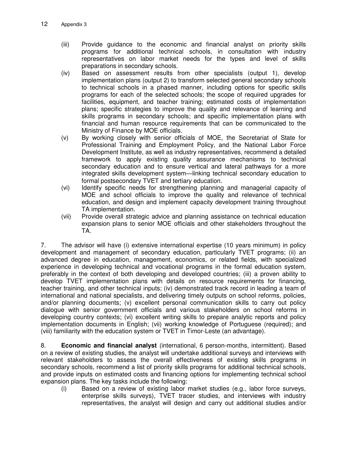- (iii) Provide guidance to the economic and financial analyst on priority skills programs for additional technical schools, in consultation with industry representatives on labor market needs for the types and level of skills preparations in secondary schools.
- (iv) Based on assessment results from other specialists (output 1), develop implementation plans (output 2) to transform selected general secondary schools to technical schools in a phased manner, including options for specific skills programs for each of the selected schools; the scope of required upgrades for facilities, equipment, and teacher training; estimated costs of implementation plans; specific strategies to improve the quality and relevance of learning and skills programs in secondary schools; and specific implementation plans with financial and human resource requirements that can be communicated to the Ministry of Finance by MOE officials.
- (v) By working closely with senior officials of MOE, the Secretariat of State for Professional Training and Employment Policy, and the National Labor Force Development Institute, as well as industry representatives, recommend a detailed framework to apply existing quality assurance mechanisms to technical secondary education and to ensure vertical and lateral pathways for a more integrated skills development system—linking technical secondary education to formal postsecondary TVET and tertiary education.
- (vi) Identify specific needs for strengthening planning and managerial capacity of MOE and school officials to improve the quality and relevance of technical education, and design and implement capacity development training throughout TA implementation.
- (vii) Provide overall strategic advice and planning assistance on technical education expansion plans to senior MOE officials and other stakeholders throughout the TA.

7. The advisor will have (i) extensive international expertise (10 years minimum) in policy development and management of secondary education, particularly TVET programs; (ii) an advanced degree in education, management, economics, or related fields, with specialized experience in developing technical and vocational programs in the formal education system, preferably in the context of both developing and developed countries; (iii) a proven ability to develop TVET implementation plans with details on resource requirements for financing, teacher training, and other technical inputs; (iv) demonstrated track record in leading a team of international and national specialists, and delivering timely outputs on school reforms, policies, and/or planning documents; (v) excellent personal communication skills to carry out policy dialogue with senior government officials and various stakeholders on school reforms in developing country contexts; (vi) excellent writing skills to prepare analytic reports and policy implementation documents in English; (vii) working knowledge of Portuguese (required); and (viii) familiarity with the education system or TVET in Timor-Leste (an advantage).

8. **Economic and financial analyst** (international, 6 person-months, intermittent). Based on a review of existing studies, the analyst will undertake additional surveys and interviews with relevant stakeholders to assess the overall effectiveness of existing skills programs in secondary schools, recommend a list of priority skills programs for additional technical schools, and provide inputs on estimated costs and financing options for implementing technical school expansion plans. The key tasks include the following:

(i) Based on a review of existing labor market studies (e.g., labor force surveys, enterprise skills surveys), TVET tracer studies, and interviews with industry representatives, the analyst will design and carry out additional studies and/or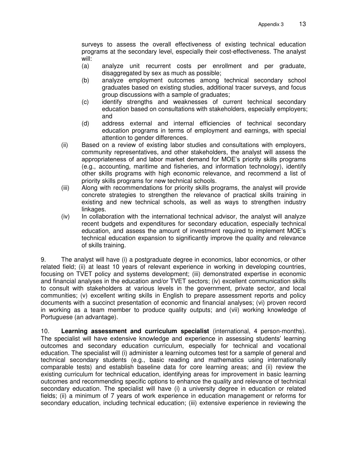surveys to assess the overall effectiveness of existing technical education programs at the secondary level, especially their cost-effectiveness. The analyst will:

- (a) analyze unit recurrent costs per enrollment and per graduate, disaggregated by sex as much as possible;
- (b) analyze employment outcomes among technical secondary school graduates based on existing studies, additional tracer surveys, and focus group discussions with a sample of graduates;
- (c) identify strengths and weaknesses of current technical secondary education based on consultations with stakeholders, especially employers; and
- (d) address external and internal efficiencies of technical secondary education programs in terms of employment and earnings, with special attention to gender differences.
- (ii) Based on a review of existing labor studies and consultations with employers, community representatives, and other stakeholders, the analyst will assess the appropriateness of and labor market demand for MOE's priority skills programs (e.g., accounting, maritime and fisheries, and information technology), identify other skills programs with high economic relevance, and recommend a list of priority skills programs for new technical schools.
- (iii) Along with recommendations for priority skills programs, the analyst will provide concrete strategies to strengthen the relevance of practical skills training in existing and new technical schools, as well as ways to strengthen industry linkages.
- (iv) In collaboration with the international technical advisor, the analyst will analyze recent budgets and expenditures for secondary education, especially technical education, and assess the amount of investment required to implement MOE's technical education expansion to significantly improve the quality and relevance of skills training.

9. The analyst will have (i) a postgraduate degree in economics, labor economics, or other related field; (ii) at least 10 years of relevant experience in working in developing countries, focusing on TVET policy and systems development; (iii) demonstrated expertise in economic and financial analyses in the education and/or TVET sectors; (iv) excellent communication skills to consult with stakeholders at various levels in the government, private sector, and local communities; (v) excellent writing skills in English to prepare assessment reports and policy documents with a succinct presentation of economic and financial analyses; (vi) proven record in working as a team member to produce quality outputs; and (vii) working knowledge of Portuguese (an advantage).

10. **Learning assessment and curriculum specialist** (international, 4 person-months). The specialist will have extensive knowledge and experience in assessing students' learning outcomes and secondary education curriculum, especially for technical and vocational education. The specialist will (i) administer a learning outcomes test for a sample of general and technical secondary students (e.g., basic reading and mathematics using internationally comparable tests) and establish baseline data for core learning areas; and (ii) review the existing curriculum for technical education, identifying areas for improvement in basic learning outcomes and recommending specific options to enhance the quality and relevance of technical secondary education. The specialist will have (i) a university degree in education or related fields; (ii) a minimum of 7 years of work experience in education management or reforms for secondary education, including technical education; (iii) extensive experience in reviewing the